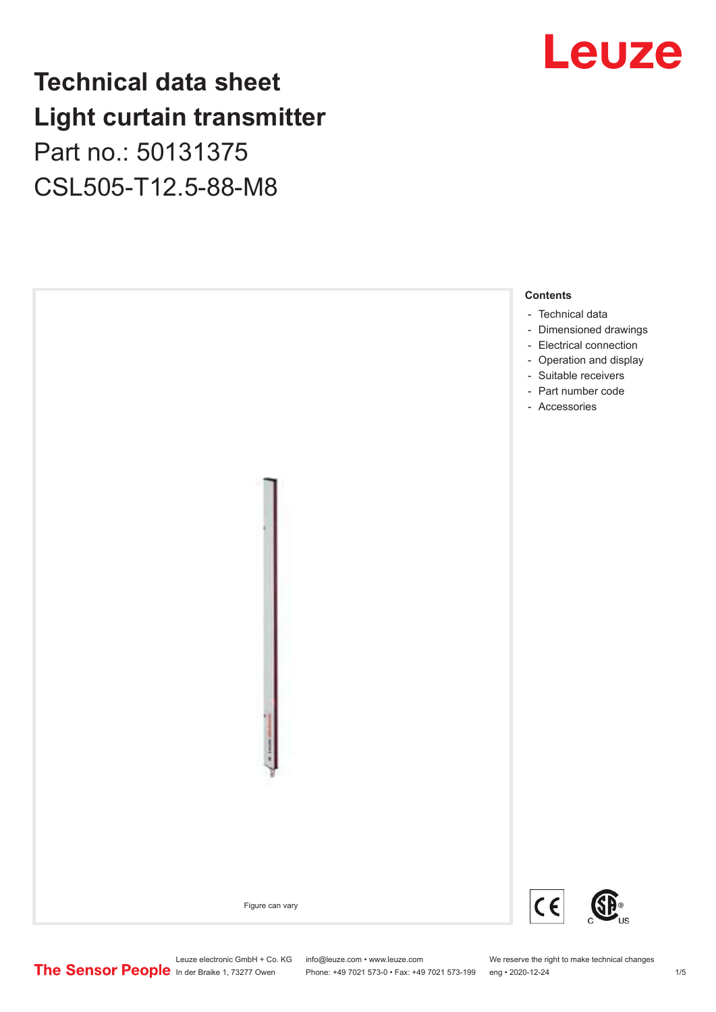### **Technical data sheet Light curtain transmitter** Part no.: 50131375

CSL505-T12.5-88-M8



## Leuze

Leuze electronic GmbH + Co. KG info@leuze.com • www.leuze.com We reserve the right to make technical changes<br>
The Sensor People in der Braike 1, 73277 Owen Phone: +49 7021 573-0 • Fax: +49 7021 573-199 eng • 2020-12-24

Phone: +49 7021 573-0 • Fax: +49 7021 573-199 eng • 2020-12-24 1 2020-12-24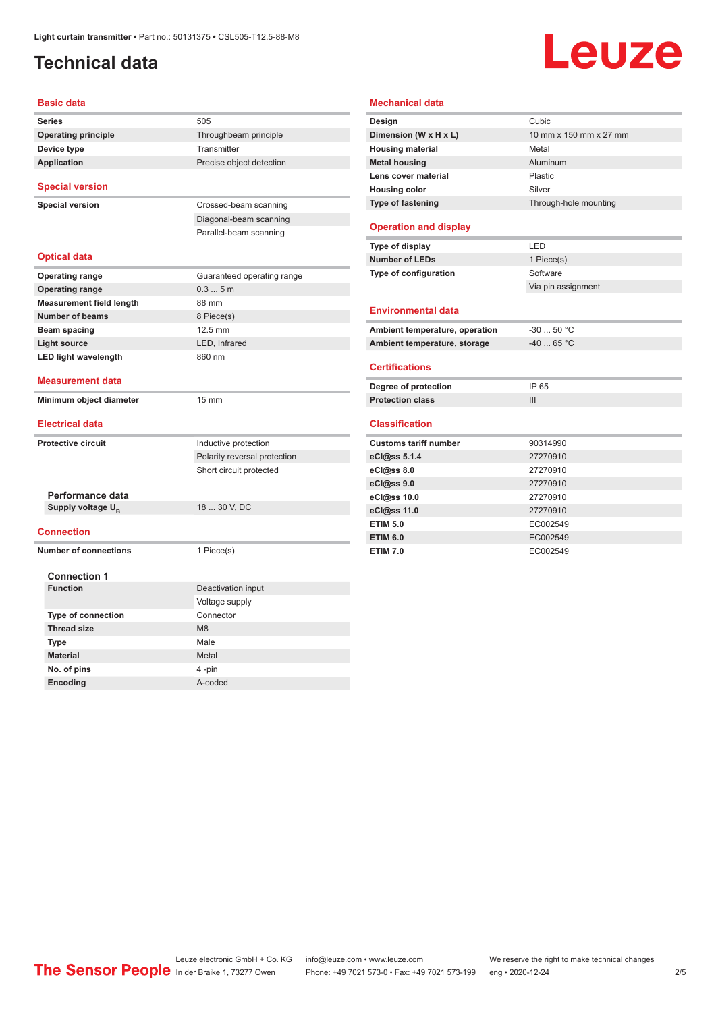#### <span id="page-1-0"></span>**Technical data**

# **Leuze**

| <b>Basic data</b>               |                              |
|---------------------------------|------------------------------|
| <b>Series</b>                   | 505                          |
| <b>Operating principle</b>      | Throughbeam principle        |
| Device type                     | Transmitter                  |
| <b>Application</b>              | Precise object detection     |
|                                 |                              |
| <b>Special version</b>          |                              |
| <b>Special version</b>          | Crossed-beam scanning        |
|                                 | Diagonal-beam scanning       |
|                                 | Parallel-beam scanning       |
|                                 |                              |
| <b>Optical data</b>             |                              |
| <b>Operating range</b>          | Guaranteed operating range   |
| <b>Operating range</b>          | 0.35m                        |
| <b>Measurement field length</b> | 88 mm                        |
| <b>Number of beams</b>          | 8 Piece(s)                   |
| Beam spacing                    | 12.5 mm                      |
| <b>Light source</b>             | LED, Infrared                |
| <b>LED light wavelength</b>     | 860 nm                       |
|                                 |                              |
| <b>Measurement data</b>         |                              |
|                                 |                              |
| Minimum object diameter         | 15 mm                        |
|                                 |                              |
| <b>Electrical data</b>          |                              |
| <b>Protective circuit</b>       | Inductive protection         |
|                                 | Polarity reversal protection |
|                                 | Short circuit protected      |
|                                 |                              |
| Performance data                |                              |
| Supply voltage U <sub>B</sub>   | 18  30 V, DC                 |
| <b>Connection</b>               |                              |
| <b>Number of connections</b>    | 1 Piece(s)                   |
|                                 |                              |
| <b>Connection 1</b>             |                              |
| <b>Function</b>                 | Deactivation input           |
|                                 | Voltage supply               |
| Type of connection              | Connector                    |
| <b>Thread size</b>              | M <sub>8</sub>               |
| Type                            | Male                         |
| <b>Material</b>                 | Metal                        |
| No. of pins                     | 4 -pin                       |

| <b>Mechanical data</b>         |                        |  |
|--------------------------------|------------------------|--|
| Design                         | Cubic                  |  |
| Dimension (W x H x L)          | 10 mm x 150 mm x 27 mm |  |
| <b>Housing material</b>        | Metal                  |  |
| <b>Metal housing</b>           | Aluminum               |  |
| Lens cover material            | Plastic                |  |
| <b>Housing color</b>           | Silver                 |  |
| <b>Type of fastening</b>       | Through-hole mounting  |  |
| <b>Operation and display</b>   |                        |  |
| Type of display                | LED                    |  |
| <b>Number of LEDs</b>          | 1 Piece(s)             |  |
| <b>Type of configuration</b>   | Software               |  |
|                                | Via pin assignment     |  |
| <b>Environmental data</b>      |                        |  |
| Ambient temperature, operation | $-30$ 50 °C            |  |
| Ambient temperature, storage   | $-4065 °C$             |  |
| <b>Certifications</b>          |                        |  |
| Degree of protection           | IP 65                  |  |
| <b>Protection class</b>        | III                    |  |
| <b>Classification</b>          |                        |  |
| <b>Customs tariff number</b>   | 90314990               |  |
| eCl@ss 5.1.4                   | 27270910               |  |
| eCl@ss 8.0                     | 27270910               |  |
| eCl@ss 9.0                     | 27270910               |  |
| eCl@ss 10.0                    | 27270910               |  |
| eCl@ss 11.0                    | 27270910               |  |
| <b>ETIM 5.0</b>                | EC002549               |  |
| <b>ETIM 6.0</b>                | EC002549               |  |
| <b>ETIM 7.0</b>                | EC002549               |  |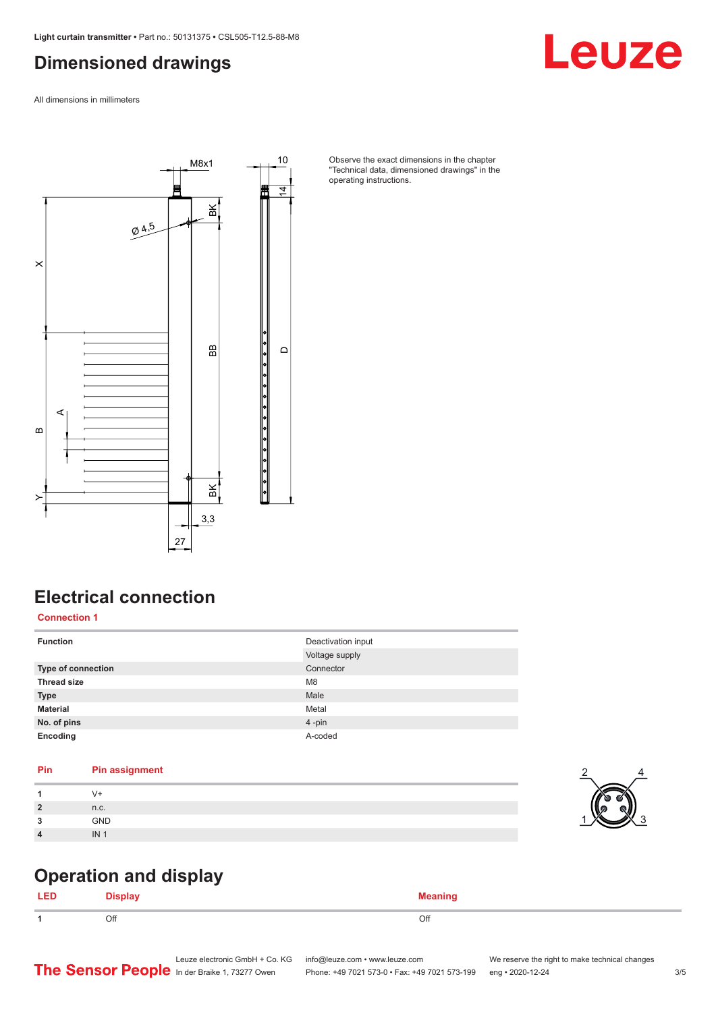#### <span id="page-2-0"></span>**Dimensioned drawings**

All dimensions in millimeters



Observe the exact dimensions in the chapter "Technical data, dimensioned drawings" in the operating instructions.

#### **Electrical connection**

**Connection 1**

| <b>Function</b>           | Deactivation input<br>Voltage supply |
|---------------------------|--------------------------------------|
| <b>Type of connection</b> | Connector                            |
| <b>Thread size</b>        | M <sub>8</sub>                       |
| <b>Type</b>               | Male                                 |
| <b>Material</b>           | Metal                                |
| No. of pins               | 4-pin                                |
| Encoding                  | A-coded                              |

#### **Pin Pin assignment**

|                  | V 1             |
|------------------|-----------------|
| $\overline{2}$   | n.c.            |
| $\sim$           | <b>GND</b>      |
| $\boldsymbol{4}$ | IN <sub>1</sub> |



Leuze

#### **Operation and display**

| . . | .   |     |
|-----|-----|-----|
|     | Off | Off |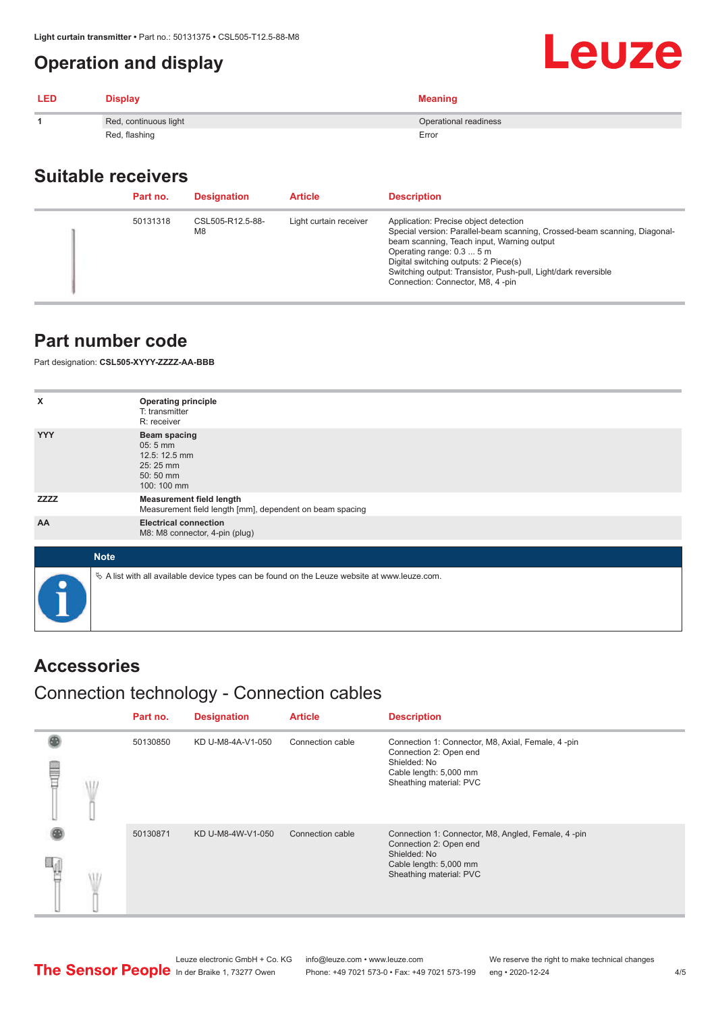#### <span id="page-3-0"></span>**Operation and display**

| <b>LED</b> | <b>Display</b>        | <b>Meaning</b>        |
|------------|-----------------------|-----------------------|
|            | Red, continuous light | Operational readiness |
|            | Red, flashing         | Error                 |

#### **Suitable receivers**

| Part no. | <b>Designation</b>                 | <b>Article</b>         | <b>Description</b>                                                                                                                                                                                                                                                                                                                           |
|----------|------------------------------------|------------------------|----------------------------------------------------------------------------------------------------------------------------------------------------------------------------------------------------------------------------------------------------------------------------------------------------------------------------------------------|
| 50131318 | CSL505-R12.5-88-<br>M <sub>8</sub> | Light curtain receiver | Application: Precise object detection<br>Special version: Parallel-beam scanning, Crossed-beam scanning, Diagonal-<br>beam scanning, Teach input, Warning output<br>Operating range: 0.3  5 m<br>Digital switching outputs: 2 Piece(s)<br>Switching output: Transistor, Push-pull, Light/dark reversible<br>Connection: Connector, M8, 4-pin |

#### **Part number code**

Part designation: **CSL505-XYYY-ZZZZ-AA-BBB**

| x           | <b>Operating principle</b>                                                                      |
|-------------|-------------------------------------------------------------------------------------------------|
|             | T: transmitter                                                                                  |
|             | R: receiver                                                                                     |
| <b>YYY</b>  | <b>Beam spacing</b><br>05:5 mm<br>12.5: 12.5 mm<br>25:25 mm<br>50:50 mm<br>100: 100 mm          |
| <b>ZZZZ</b> | <b>Measurement field length</b><br>Measurement field length [mm], dependent on beam spacing     |
| AA          | <b>Electrical connection</b><br>M8: M8 connector, 4-pin (plug)                                  |
|             |                                                                                                 |
| <b>Note</b> |                                                                                                 |
| $\bullet$   | $\&$ A list with all available device types can be found on the Leuze website at www.leuze.com. |

#### **Accessories**

#### Connection technology - Connection cables

|   | Part no. | <b>Designation</b> | <b>Article</b>   | <b>Description</b>                                                                                                                                |
|---|----------|--------------------|------------------|---------------------------------------------------------------------------------------------------------------------------------------------------|
| ⋚ | 50130850 | KD U-M8-4A-V1-050  | Connection cable | Connection 1: Connector, M8, Axial, Female, 4-pin<br>Connection 2: Open end<br>Shielded: No<br>Cable length: 5,000 mm<br>Sheathing material: PVC  |
|   | 50130871 | KD U-M8-4W-V1-050  | Connection cable | Connection 1: Connector, M8, Angled, Female, 4-pin<br>Connection 2: Open end<br>Shielded: No<br>Cable length: 5,000 mm<br>Sheathing material: PVC |

Leuze